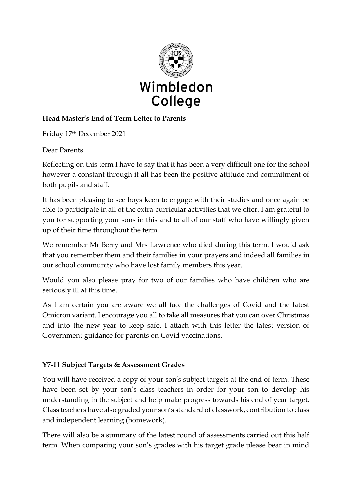

# **Head Master's End of Term Letter to Parents**

Friday 17th December 2021

Dear Parents

Reflecting on this term I have to say that it has been a very difficult one for the school however a constant through it all has been the positive attitude and commitment of both pupils and staff.

It has been pleasing to see boys keen to engage with their studies and once again be able to participate in all of the extra-curricular activities that we offer. I am grateful to you for supporting your sons in this and to all of our staff who have willingly given up of their time throughout the term.

We remember Mr Berry and Mrs Lawrence who died during this term. I would ask that you remember them and their families in your prayers and indeed all families in our school community who have lost family members this year.

Would you also please pray for two of our families who have children who are seriously ill at this time.

As I am certain you are aware we all face the challenges of Covid and the latest Omicron variant. I encourage you all to take all measures that you can over Christmas and into the new year to keep safe. I attach with this letter the latest version of Government guidance for parents on Covid vaccinations.

### **Y7-11 Subject Targets & Assessment Grades**

You will have received a copy of your son's subject targets at the end of term. These have been set by your son's class teachers in order for your son to develop his understanding in the subject and help make progress towards his end of year target. Class teachers have also graded your son's standard of classwork, contribution to class and independent learning (homework).

There will also be a summary of the latest round of assessments carried out this half term. When comparing your son's grades with his target grade please bear in mind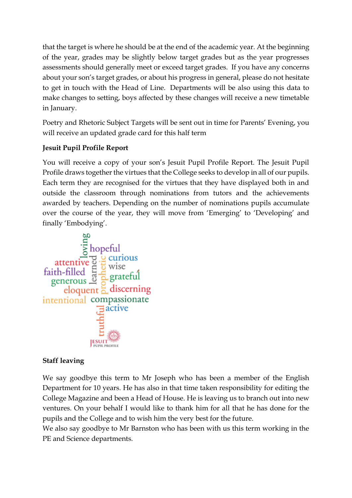that the target is where he should be at the end of the academic year. At the beginning of the year, grades may be slightly below target grades but as the year progresses assessments should generally meet or exceed target grades. If you have any concerns about your son's target grades, or about his progress in general, please do not hesitate to get in touch with the Head of Line. Departments will be also using this data to make changes to setting, boys affected by these changes will receive a new timetable in January.

Poetry and Rhetoric Subject Targets will be sent out in time for Parents' Evening, you will receive an updated grade card for this half term

# **Jesuit Pupil Profile Report**

You will receive a copy of your son's Jesuit Pupil Profile Report. The Jesuit Pupil Profile draws together the virtues that the College seeks to develop in all of our pupils. Each term they are recognised for the virtues that they have displayed both in and outside the classroom through nominations from tutors and the achievements awarded by teachers. Depending on the number of nominations pupils accumulate over the course of the year, they will move from 'Emerging' to 'Developing' and



### **Staff leaving**

We say goodbye this term to Mr Joseph who has been a member of the English Department for 10 years. He has also in that time taken responsibility for editing the College Magazine and been a Head of House. He is leaving us to branch out into new ventures. On your behalf I would like to thank him for all that he has done for the pupils and the College and to wish him the very best for the future.

We also say goodbye to Mr Barnston who has been with us this term working in the PE and Science departments.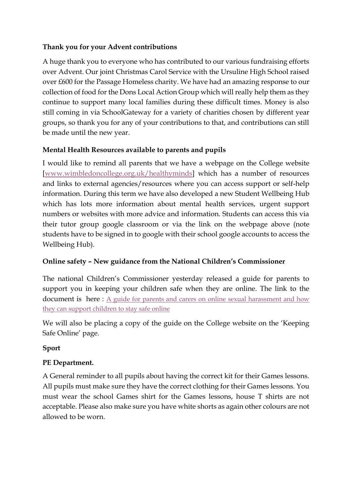#### **Thank you for your Advent contributions**

A huge thank you to everyone who has contributed to our various fundraising efforts over Advent. Our joint Christmas Carol Service with the Ursuline High School raised over £600 for the Passage Homeless charity. We have had an amazing response to our collection of food for the Dons Local Action Group which will really help them as they continue to support many local families during these difficult times. Money is also still coming in via SchoolGateway for a variety of charities chosen by different year groups, so thank you for any of your contributions to that, and contributions can still be made until the new year.

### **Mental Health Resources available to parents and pupils**

I would like to remind all parents that we have a webpage on the College website [\[www.wimbledoncollege.org.uk/healthyminds\]](http://www.wimbledoncollege.org.uk/healthyminds) which has a number of resources and links to external agencies/resources where you can access support or self-help information. During this term we have also developed a new Student Wellbeing Hub which has lots more information about mental health services, urgent support numbers or websites with more advice and information. Students can access this via their tutor group google classroom or via the link on the webpage above (note students have to be signed in to google with their school google accounts to access the Wellbeing Hub).

### **Online safety – New guidance from the National Children's Commissioner**

The national Children's Commissioner yesterday released a guide for parents to support you in keeping your children safe when they are online. The link to the document is here : A guide for parents and carers on online sexual harassment and how [they can support children to stay safe online](https://www.childrenscommissioner.gov.uk/talking-to-your-child-about-online-sexual-harassment-a-guide-for-parents?utm_source=16%20December%202021%20C19&utm_medium=Daily%20Email%20C19&utm_campaign=DfE%20C19)

We will also be placing a copy of the guide on the College website on the 'Keeping Safe Online' page.

### **Sport**

# **PE Department.**

A General reminder to all pupils about having the correct kit for their Games lessons. All pupils must make sure they have the correct clothing for their Games lessons. You must wear the school Games shirt for the Games lessons, house T shirts are not acceptable. Please also make sure you have white shorts as again other colours are not allowed to be worn.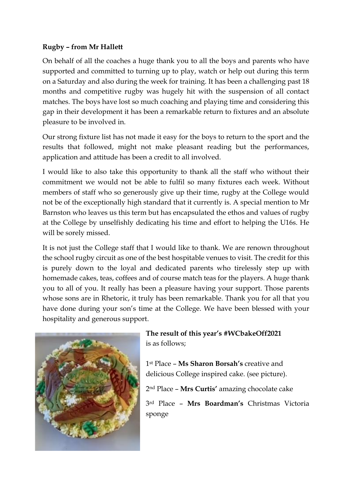#### **Rugby – from Mr Hallett**

On behalf of all the coaches a huge thank you to all the boys and parents who have supported and committed to turning up to play, watch or help out during this term on a Saturday and also during the week for training. It has been a challenging past 18 months and competitive rugby was hugely hit with the suspension of all contact matches. The boys have lost so much coaching and playing time and considering this gap in their development it has been a remarkable return to fixtures and an absolute pleasure to be involved in.

Our strong fixture list has not made it easy for the boys to return to the sport and the results that followed, might not make pleasant reading but the performances, application and attitude has been a credit to all involved.

I would like to also take this opportunity to thank all the staff who without their commitment we would not be able to fulfil so many fixtures each week. Without members of staff who so generously give up their time, rugby at the College would not be of the exceptionally high standard that it currently is. A special mention to Mr Barnston who leaves us this term but has encapsulated the ethos and values of rugby at the College by unselfishly dedicating his time and effort to helping the U16s. He will be sorely missed.

It is not just the College staff that I would like to thank. We are renown throughout the school rugby circuit as one of the best hospitable venues to visit. The credit for this is purely down to the loyal and dedicated parents who tirelessly step up with homemade cakes, teas, coffees and of course match teas for the players. A huge thank you to all of you. It really has been a pleasure having your support. Those parents whose sons are in Rhetoric, it truly has been remarkable. Thank you for all that you have done during your son's time at the College. We have been blessed with your hospitality and generous support.



**The result of this year's #WCbakeOff2021**  is as follows;

1st Place – **Ms Sharon Borsah's** creative and delicious College inspired cake. (see picture).

2nd Place – **Mrs Curtis'** amazing chocolate cake

3rd Place – **Mrs Boardman's** Christmas Victoria sponge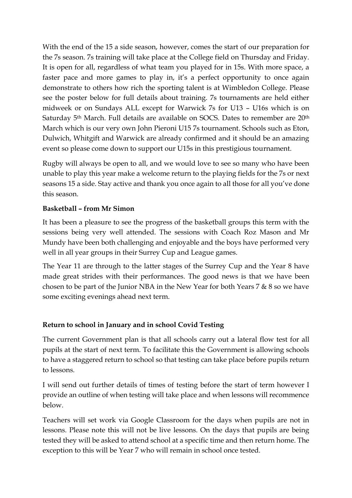With the end of the 15 a side season, however, comes the start of our preparation for the 7s season. 7s training will take place at the College field on Thursday and Friday. It is open for all, regardless of what team you played for in 15s. With more space, a faster pace and more games to play in, it's a perfect opportunity to once again demonstrate to others how rich the sporting talent is at Wimbledon College. Please see the poster below for full details about training. 7s tournaments are held either midweek or on Sundays ALL except for Warwick 7s for U13 – U16s which is on Saturday 5<sup>th</sup> March. Full details are available on SOCS. Dates to remember are 20<sup>th</sup> March which is our very own John Pieroni U15 7s tournament. Schools such as Eton, Dulwich, Whitgift and Warwick are already confirmed and it should be an amazing event so please come down to support our U15s in this prestigious tournament.

Rugby will always be open to all, and we would love to see so many who have been unable to play this year make a welcome return to the playing fields for the 7s or next seasons 15 a side. Stay active and thank you once again to all those for all you've done this season.

#### **Basketball – from Mr Simon**

It has been a pleasure to see the progress of the basketball groups this term with the sessions being very well attended. The sessions with Coach Roz Mason and Mr Mundy have been both challenging and enjoyable and the boys have performed very well in all year groups in their Surrey Cup and League games.

The Year 11 are through to the latter stages of the Surrey Cup and the Year 8 have made great strides with their performances. The good news is that we have been chosen to be part of the Junior NBA in the New Year for both Years 7 & 8 so we have some exciting evenings ahead next term.

### **Return to school in January and in school Covid Testing**

The current Government plan is that all schools carry out a lateral flow test for all pupils at the start of next term. To facilitate this the Government is allowing schools to have a staggered return to school so that testing can take place before pupils return to lessons.

I will send out further details of times of testing before the start of term however I provide an outline of when testing will take place and when lessons will recommence below.

Teachers will set work via Google Classroom for the days when pupils are not in lessons. Please note this will not be live lessons. On the days that pupils are being tested they will be asked to attend school at a specific time and then return home. The exception to this will be Year 7 who will remain in school once tested.